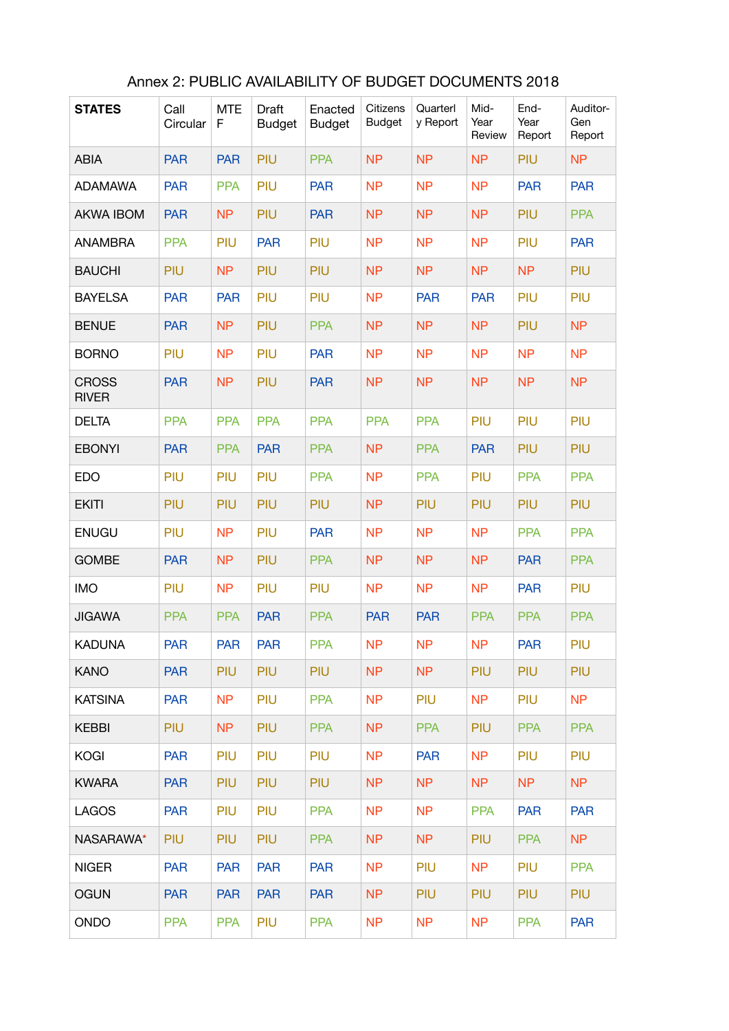| <b>STATES</b>                | Call<br>Circular | <b>MTE</b><br>F | <b>Draft</b><br><b>Budget</b> | Enacted<br><b>Budget</b> | Citizens<br><b>Budget</b> | Quarterl<br>y Report | Mid-<br>Year<br>Review | End-<br>Year<br>Report | Auditor-<br>Gen<br>Report |
|------------------------------|------------------|-----------------|-------------------------------|--------------------------|---------------------------|----------------------|------------------------|------------------------|---------------------------|
| <b>ABIA</b>                  | <b>PAR</b>       | <b>PAR</b>      | PIU                           | <b>PPA</b>               | <b>NP</b>                 | <b>NP</b>            | <b>NP</b>              | PIU                    | <b>NP</b>                 |
| <b>ADAMAWA</b>               | <b>PAR</b>       | <b>PPA</b>      | PIU                           | <b>PAR</b>               | <b>NP</b>                 | <b>NP</b>            | <b>NP</b>              | <b>PAR</b>             | <b>PAR</b>                |
| <b>AKWA IBOM</b>             | <b>PAR</b>       | <b>NP</b>       | PIU                           | <b>PAR</b>               | <b>NP</b>                 | <b>NP</b>            | <b>NP</b>              | PIU                    | <b>PPA</b>                |
| <b>ANAMBRA</b>               | <b>PPA</b>       | PIU             | <b>PAR</b>                    | PIU                      | <b>NP</b>                 | <b>NP</b>            | <b>NP</b>              | PIU                    | <b>PAR</b>                |
| <b>BAUCHI</b>                | PIU              | <b>NP</b>       | PIU                           | PIU                      | <b>NP</b>                 | <b>NP</b>            | <b>NP</b>              | <b>NP</b>              | PIU                       |
| <b>BAYELSA</b>               | <b>PAR</b>       | <b>PAR</b>      | PIU                           | PIU                      | <b>NP</b>                 | <b>PAR</b>           | <b>PAR</b>             | PIU                    | PIU                       |
| <b>BENUE</b>                 | <b>PAR</b>       | <b>NP</b>       | PIU                           | <b>PPA</b>               | <b>NP</b>                 | <b>NP</b>            | <b>NP</b>              | PIU                    | <b>NP</b>                 |
| <b>BORNO</b>                 | PIU              | <b>NP</b>       | PIU                           | <b>PAR</b>               | <b>NP</b>                 | <b>NP</b>            | <b>NP</b>              | <b>NP</b>              | <b>NP</b>                 |
| <b>CROSS</b><br><b>RIVER</b> | <b>PAR</b>       | <b>NP</b>       | PIU                           | <b>PAR</b>               | <b>NP</b>                 | <b>NP</b>            | <b>NP</b>              | <b>NP</b>              | <b>NP</b>                 |
| <b>DELTA</b>                 | <b>PPA</b>       | <b>PPA</b>      | <b>PPA</b>                    | <b>PPA</b>               | <b>PPA</b>                | <b>PPA</b>           | PIU                    | PIU                    | PIU                       |
| <b>EBONYI</b>                | <b>PAR</b>       | <b>PPA</b>      | <b>PAR</b>                    | <b>PPA</b>               | <b>NP</b>                 | <b>PPA</b>           | <b>PAR</b>             | PIU                    | PIU                       |
| <b>EDO</b>                   | PIU              | PIU             | PIU                           | <b>PPA</b>               | <b>NP</b>                 | <b>PPA</b>           | PIU                    | <b>PPA</b>             | <b>PPA</b>                |
| <b>EKITI</b>                 | PIU              | PIU             | PIU                           | PIU                      | <b>NP</b>                 | PIU                  | PIU                    | PIU                    | PIU                       |
| <b>ENUGU</b>                 | PIU              | <b>NP</b>       | PIU                           | <b>PAR</b>               | <b>NP</b>                 | <b>NP</b>            | <b>NP</b>              | <b>PPA</b>             | <b>PPA</b>                |
| <b>GOMBE</b>                 | <b>PAR</b>       | <b>NP</b>       | PIU                           | <b>PPA</b>               | <b>NP</b>                 | <b>NP</b>            | <b>NP</b>              | <b>PAR</b>             | <b>PPA</b>                |
| <b>IMO</b>                   | PIU              | <b>NP</b>       | PIU                           | PIU                      | <b>NP</b>                 | <b>NP</b>            | <b>NP</b>              | <b>PAR</b>             | PIU                       |
| <b>JIGAWA</b>                | <b>PPA</b>       | <b>PPA</b>      | <b>PAR</b>                    | <b>PPA</b>               | <b>PAR</b>                | <b>PAR</b>           | <b>PPA</b>             | <b>PPA</b>             | <b>PPA</b>                |
| <b>KADUNA</b>                | <b>PAR</b>       | <b>PAR</b>      | <b>PAR</b>                    | <b>PPA</b>               | NP                        | N <sub>P</sub>       | <b>NP</b>              | <b>PAR</b>             | PIU                       |
| <b>KANO</b>                  | <b>PAR</b>       | <b>PIU</b>      | <b>PIU</b>                    | <b>PIU</b>               | <b>NP</b>                 | N <sub>P</sub>       | PIU                    | PIU                    | PIU                       |
| <b>KATSINA</b>               | <b>PAR</b>       | N <sub>P</sub>  | <b>PIU</b>                    | <b>PPA</b>               | <b>NP</b>                 | PIU                  | <b>NP</b>              | <b>PIU</b>             | N <sub>P</sub>            |
| <b>KEBBI</b>                 | <b>PIU</b>       | NP.             | <b>PIU</b>                    | <b>PPA</b>               | <b>NP</b>                 | <b>PPA</b>           | PIU                    | <b>PPA</b>             | <b>PPA</b>                |
| <b>KOGI</b>                  | <b>PAR</b>       | <b>PIU</b>      | <b>PIU</b>                    | <b>PIU</b>               | <b>NP</b>                 | <b>PAR</b>           | <b>NP</b>              | <b>PIU</b>             | <b>PIU</b>                |
| <b>KWARA</b>                 | <b>PAR</b>       | <b>PIU</b>      | <b>PIU</b>                    | <b>PIU</b>               | <b>NP</b>                 | N <sub>P</sub>       | N <sub>P</sub>         | <b>NP</b>              | NP                        |
| <b>LAGOS</b>                 | <b>PAR</b>       | <b>PIU</b>      | <b>PIU</b>                    | <b>PPA</b>               | <b>NP</b>                 | <b>NP</b>            | <b>PPA</b>             | <b>PAR</b>             | <b>PAR</b>                |
| NASARAWA*                    | PIU              | <b>PIU</b>      | <b>PIU</b>                    | <b>PPA</b>               | <b>NP</b>                 | N <sub>P</sub>       | PIU                    | <b>PPA</b>             | NP                        |
| <b>NIGER</b>                 | <b>PAR</b>       | <b>PAR</b>      | <b>PAR</b>                    | <b>PAR</b>               | N <sub>P</sub>            | PIU                  | N <sub>P</sub>         | <b>PIU</b>             | <b>PPA</b>                |
| <b>OGUN</b>                  | <b>PAR</b>       | <b>PAR</b>      | <b>PAR</b>                    | <b>PAR</b>               | N <sub>P</sub>            | <b>PIU</b>           | PIU                    | PIU                    | <b>PIU</b>                |
| <b>ONDO</b>                  | <b>PPA</b>       | <b>PPA</b>      | <b>PIU</b>                    | <b>PPA</b>               | <b>NP</b>                 | <b>NP</b>            | <b>NP</b>              | <b>PPA</b>             | <b>PAR</b>                |

## Annex 2: PUBLIC AVAILABILITY OF BUDGET DOCUMENTS 2018